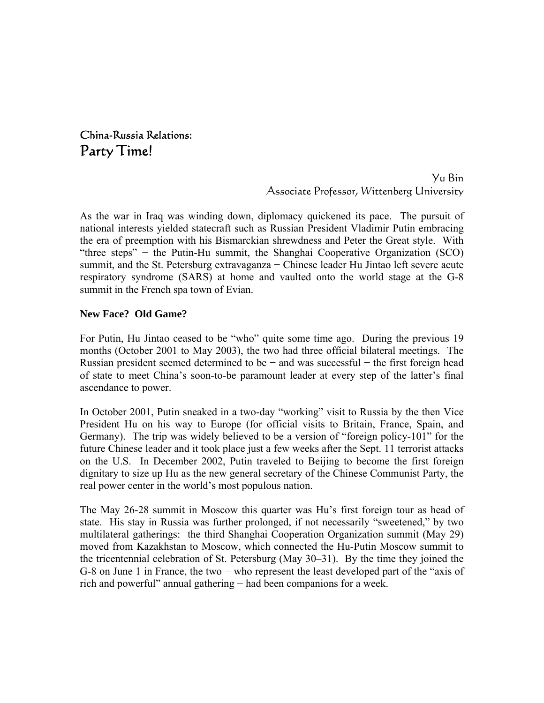China-Russia Relations: Party Time!

> Yu Bin Associate Professor, Wittenberg University

As the war in Iraq was winding down, diplomacy quickened its pace. The pursuit of national interests yielded statecraft such as Russian President Vladimir Putin embracing the era of preemption with his Bismarckian shrewdness and Peter the Great style. With "three steps" − the Putin-Hu summit, the Shanghai Cooperative Organization (SCO) summit, and the St. Petersburg extravaganza − Chinese leader Hu Jintao left severe acute respiratory syndrome (SARS) at home and vaulted onto the world stage at the G-8 summit in the French spa town of Evian.

### **New Face? Old Game?**

For Putin, Hu Jintao ceased to be "who" quite some time ago. During the previous 19 months (October 2001 to May 2003), the two had three official bilateral meetings. The Russian president seemed determined to be  $-$  and was successful  $-$  the first foreign head of state to meet China's soon-to-be paramount leader at every step of the latter's final ascendance to power.

In October 2001, Putin sneaked in a two-day "working" visit to Russia by the then Vice President Hu on his way to Europe (for official visits to Britain, France, Spain, and Germany). The trip was widely believed to be a version of "foreign policy-101" for the future Chinese leader and it took place just a few weeks after the Sept. 11 terrorist attacks on the U.S. In December 2002, Putin traveled to Beijing to become the first foreign dignitary to size up Hu as the new general secretary of the Chinese Communist Party, the real power center in the world's most populous nation.

The May 26-28 summit in Moscow this quarter was Hu's first foreign tour as head of state. His stay in Russia was further prolonged, if not necessarily "sweetened," by two multilateral gatherings: the third Shanghai Cooperation Organization summit (May 29) moved from Kazakhstan to Moscow, which connected the Hu-Putin Moscow summit to the tricentennial celebration of St. Petersburg (May 30–31). By the time they joined the G-8 on June 1 in France, the two − who represent the least developed part of the "axis of rich and powerful" annual gathering − had been companions for a week.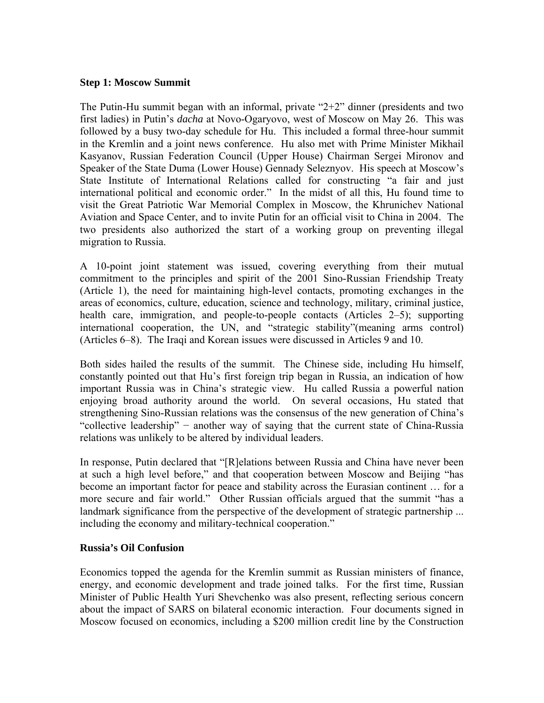### **Step 1: Moscow Summit**

The Putin-Hu summit began with an informal, private "2+2" dinner (presidents and two first ladies) in Putin's *dacha* at Novo-Ogaryovo, west of Moscow on May 26. This was followed by a busy two-day schedule for Hu. This included a formal three-hour summit in the Kremlin and a joint news conference. Hu also met with Prime Minister Mikhail Kasyanov, Russian Federation Council (Upper House) Chairman Sergei Mironov and Speaker of the State Duma (Lower House) Gennady Seleznyov. His speech at Moscow's State Institute of International Relations called for constructing "a fair and just international political and economic order." In the midst of all this, Hu found time to visit the Great Patriotic War Memorial Complex in Moscow, the Khrunichev National Aviation and Space Center, and to invite Putin for an official visit to China in 2004. The two presidents also authorized the start of a working group on preventing illegal migration to Russia.

A 10-point joint statement was issued, covering everything from their mutual commitment to the principles and spirit of the 2001 Sino-Russian Friendship Treaty (Article 1), the need for maintaining high-level contacts, promoting exchanges in the areas of economics, culture, education, science and technology, military, criminal justice, health care, immigration, and people-to-people contacts (Articles 2–5); supporting international cooperation, the UN, and "strategic stability"(meaning arms control) (Articles 6–8). The Iraqi and Korean issues were discussed in Articles 9 and 10.

Both sides hailed the results of the summit. The Chinese side, including Hu himself, constantly pointed out that Hu's first foreign trip began in Russia, an indication of how important Russia was in China's strategic view. Hu called Russia a powerful nation enjoying broad authority around the world. On several occasions, Hu stated that strengthening Sino-Russian relations was the consensus of the new generation of China's "collective leadership" − another way of saying that the current state of China-Russia relations was unlikely to be altered by individual leaders.

In response, Putin declared that "[R]elations between Russia and China have never been at such a high level before," and that cooperation between Moscow and Beijing "has become an important factor for peace and stability across the Eurasian continent … for a more secure and fair world." Other Russian officials argued that the summit "has a landmark significance from the perspective of the development of strategic partnership ... including the economy and military-technical cooperation."

### **Russia's Oil Confusion**

Economics topped the agenda for the Kremlin summit as Russian ministers of finance, energy, and economic development and trade joined talks. For the first time, Russian Minister of Public Health Yuri Shevchenko was also present, reflecting serious concern about the impact of SARS on bilateral economic interaction. Four documents signed in Moscow focused on economics, including a \$200 million credit line by the Construction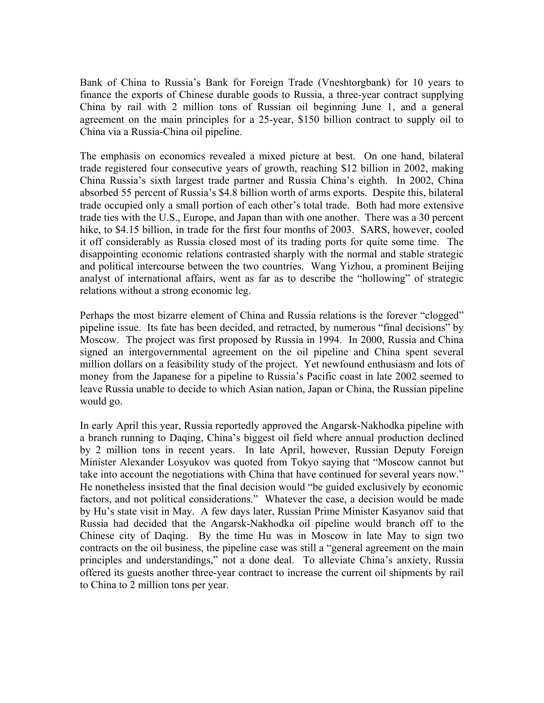Bank of China to Russia's Bank for Foreign Trade (Vneshtorgbank) for 10 years to finance the exports of Chinese durable goods to Russia, a three-year contract supplying China by rail with 2 million tons of Russian oil beginning June 1, and a general agreement on the main principles for a 25-year, \$150 billion contract to supply oil to China via a Russia-China oil pipeline.

The emphasis on economics revealed a mixed picture at best. On one hand, bilateral trade registered four consecutive years of growth, reaching \$12 billion in 2002, making China Russia's sixth largest trade partner and Russia China's eighth. In 2002, China absorbed 55 percent of Russia's \$4.8 billion worth of arms exports. Despite this, bilateral trade occupied only a small portion of each other's total trade. Both had more extensive trade ties with the U.S., Europe, and Japan than with one another. There was a 30 percent hike, to \$4.15 billion, in trade for the first four months of 2003. SARS, however, cooled it off considerably as Russia closed most of its trading ports for quite some time. The disappointing economic relations contrasted sharply with the normal and stable strategic and political intercourse between the two countries. Wang Yizhou, a prominent Beijing analyst of international affairs, went as far as to describe the "hollowing" of strategic relations without a strong economic leg.

Perhaps the most bizarre element of China and Russia relations is the forever "clogged" pipeline issue. Its fate has been decided, and retracted, by numerous "final decisions" by Moscow. The project was first proposed by Russia in 1994. In 2000, Russia and China signed an intergovernmental agreement on the oil pipeline and China spent several million dollars on a feasibility study of the project. Yet newfound enthusiasm and lots of money from the Japanese for a pipeline to Russia's Pacific coast in late 2002 seemed to leave Russia unable to decide to which Asian nation, Japan or China, the Russian pipeline would go.

In early April this year, Russia reportedly approved the Angarsk-Nakhodka pipeline with a branch running to Daqing, China's biggest oil field where annual production declined by 2 million tons in recent years. In late April, however, Russian Deputy Foreign Minister Alexander Losyukov was quoted from Tokyo saying that "Moscow cannot but take into account the negotiations with China that have continued for several years now." He nonetheless insisted that the final decision would "be guided exclusively by economic factors, and not political considerations." Whatever the case, a decision would be made by Hu's state visit in May. A few days later, Russian Prime Minister Kasyanov said that Russia had decided that the Angarsk-Nakhodka oil pipeline would branch off to the Chinese city of Daqing. By the time Hu was in Moscow in late May to sign two contracts on the oil business, the pipeline case was still a "general agreement on the main principles and understandings," not a done deal. To alleviate China's anxiety, Russia offered its guests another three-year contract to increase the current oil shipments by rail to China to 2 million tons per year.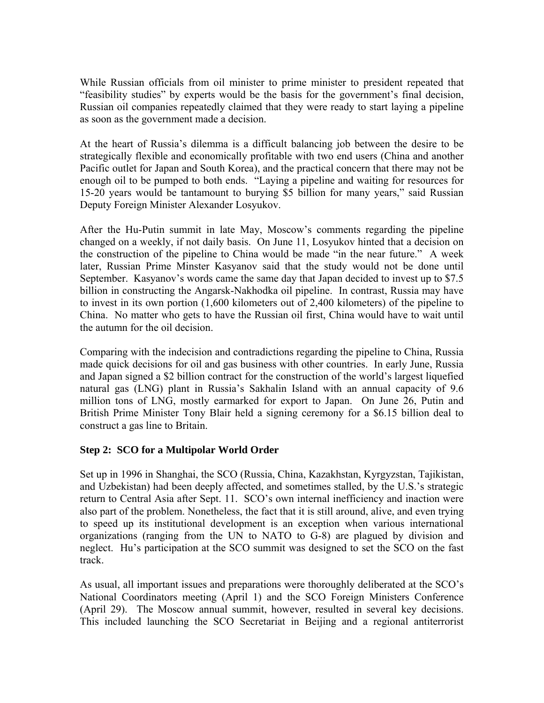While Russian officials from oil minister to prime minister to president repeated that "feasibility studies" by experts would be the basis for the government's final decision, Russian oil companies repeatedly claimed that they were ready to start laying a pipeline as soon as the government made a decision.

At the heart of Russia's dilemma is a difficult balancing job between the desire to be strategically flexible and economically profitable with two end users (China and another Pacific outlet for Japan and South Korea), and the practical concern that there may not be enough oil to be pumped to both ends. "Laying a pipeline and waiting for resources for 15-20 years would be tantamount to burying \$5 billion for many years," said Russian Deputy Foreign Minister Alexander Losyukov.

After the Hu-Putin summit in late May, Moscow's comments regarding the pipeline changed on a weekly, if not daily basis. On June 11, Losyukov hinted that a decision on the construction of the pipeline to China would be made "in the near future." A week later, Russian Prime Minster Kasyanov said that the study would not be done until September. Kasyanov's words came the same day that Japan decided to invest up to \$7.5 billion in constructing the Angarsk-Nakhodka oil pipeline. In contrast, Russia may have to invest in its own portion (1,600 kilometers out of 2,400 kilometers) of the pipeline to China. No matter who gets to have the Russian oil first, China would have to wait until the autumn for the oil decision.

Comparing with the indecision and contradictions regarding the pipeline to China, Russia made quick decisions for oil and gas business with other countries. In early June, Russia and Japan signed a \$2 billion contract for the construction of the world's largest liquefied natural gas (LNG) plant in Russia's Sakhalin Island with an annual capacity of 9.6 million tons of LNG, mostly earmarked for export to Japan. On June 26, Putin and British Prime Minister Tony Blair held a signing ceremony for a \$6.15 billion deal to construct a gas line to Britain.

## **Step 2: SCO for a Multipolar World Order**

Set up in 1996 in Shanghai, the SCO (Russia, China, Kazakhstan, Kyrgyzstan, Tajikistan, and Uzbekistan) had been deeply affected, and sometimes stalled, by the U.S.'s strategic return to Central Asia after Sept. 11. SCO's own internal inefficiency and inaction were also part of the problem. Nonetheless, the fact that it is still around, alive, and even trying to speed up its institutional development is an exception when various international organizations (ranging from the UN to NATO to G-8) are plagued by division and neglect. Hu's participation at the SCO summit was designed to set the SCO on the fast track.

As usual, all important issues and preparations were thoroughly deliberated at the SCO's National Coordinators meeting (April 1) and the SCO Foreign Ministers Conference (April 29). The Moscow annual summit, however, resulted in several key decisions. This included launching the SCO Secretariat in Beijing and a regional antiterrorist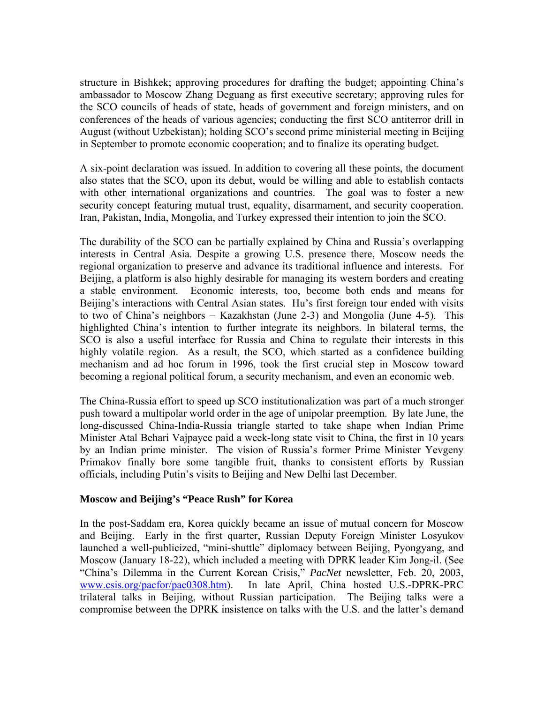structure in Bishkek; approving procedures for drafting the budget; appointing China's ambassador to Moscow Zhang Deguang as first executive secretary; approving rules for the SCO councils of heads of state, heads of government and foreign ministers, and on conferences of the heads of various agencies; conducting the first SCO antiterror drill in August (without Uzbekistan); holding SCO's second prime ministerial meeting in Beijing in September to promote economic cooperation; and to finalize its operating budget.

A six-point declaration was issued. In addition to covering all these points, the document also states that the SCO, upon its debut, would be willing and able to establish contacts with other international organizations and countries. The goal was to foster a new security concept featuring mutual trust, equality, disarmament, and security cooperation. Iran, Pakistan, India, Mongolia, and Turkey expressed their intention to join the SCO.

The durability of the SCO can be partially explained by China and Russia's overlapping interests in Central Asia. Despite a growing U.S. presence there, Moscow needs the regional organization to preserve and advance its traditional influence and interests. For Beijing, a platform is also highly desirable for managing its western borders and creating a stable environment. Economic interests, too, become both ends and means for Beijing's interactions with Central Asian states. Hu's first foreign tour ended with visits to two of China's neighbors − Kazakhstan (June 2-3) and Mongolia (June 4-5). This highlighted China's intention to further integrate its neighbors. In bilateral terms, the SCO is also a useful interface for Russia and China to regulate their interests in this highly volatile region. As a result, the SCO, which started as a confidence building mechanism and ad hoc forum in 1996, took the first crucial step in Moscow toward becoming a regional political forum, a security mechanism, and even an economic web.

The China-Russia effort to speed up SCO institutionalization was part of a much stronger push toward a multipolar world order in the age of unipolar preemption. By late June, the long-discussed China-India-Russia triangle started to take shape when Indian Prime Minister Atal Behari Vajpayee paid a week-long state visit to China, the first in 10 years by an Indian prime minister. The vision of Russia's former Prime Minister Yevgeny Primakov finally bore some tangible fruit, thanks to consistent efforts by Russian officials, including Putin's visits to Beijing and New Delhi last December.

### **Moscow and Beijing's "Peace Rush" for Korea**

In the post-Saddam era, Korea quickly became an issue of mutual concern for Moscow and Beijing. Early in the first quarter, Russian Deputy Foreign Minister Losyukov launched a well-publicized, "mini-shuttle" diplomacy between Beijing, Pyongyang, and Moscow (January 18-22), which included a meeting with DPRK leader Kim Jong-il. (See "China's Dilemma in the Current Korean Crisis," *PacNet* newsletter, Feb. 20, 2003, [www.csis.org/pacfor/pac0308.htm\)](http://www.csis.org/). In late April, China hosted U.S.-DPRK-PRC trilateral talks in Beijing, without Russian participation. The Beijing talks were a compromise between the DPRK insistence on talks with the U.S. and the latter's demand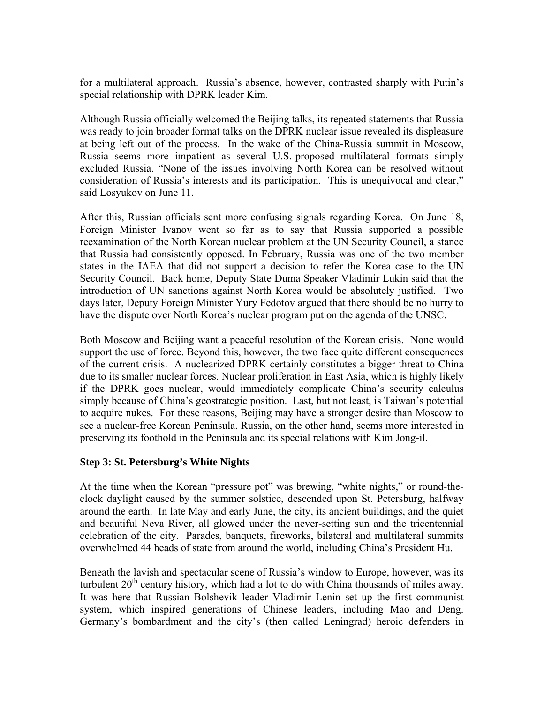for a multilateral approach. Russia's absence, however, contrasted sharply with Putin's special relationship with DPRK leader Kim.

Although Russia officially welcomed the Beijing talks, its repeated statements that Russia was ready to join broader format talks on the DPRK nuclear issue revealed its displeasure at being left out of the process. In the wake of the China-Russia summit in Moscow, Russia seems more impatient as several U.S.-proposed multilateral formats simply excluded Russia. "None of the issues involving North Korea can be resolved without consideration of Russia's interests and its participation. This is unequivocal and clear," said Losyukov on June 11.

After this, Russian officials sent more confusing signals regarding Korea. On June 18, Foreign Minister Ivanov went so far as to say that Russia supported a possible reexamination of the North Korean nuclear problem at the UN Security Council, a stance that Russia had consistently opposed. In February, Russia was one of the two member states in the IAEA that did not support a decision to refer the Korea case to the UN Security Council. Back home, Deputy State Duma Speaker Vladimir Lukin said that the introduction of UN sanctions against North Korea would be absolutely justified. Two days later, Deputy Foreign Minister Yury Fedotov argued that there should be no hurry to have the dispute over North Korea's nuclear program put on the agenda of the UNSC.

Both Moscow and Beijing want a peaceful resolution of the Korean crisis. None would support the use of force. Beyond this, however, the two face quite different consequences of the current crisis. A nuclearized DPRK certainly constitutes a bigger threat to China due to its smaller nuclear forces. Nuclear proliferation in East Asia, which is highly likely if the DPRK goes nuclear, would immediately complicate China's security calculus simply because of China's geostrategic position. Last, but not least, is Taiwan's potential to acquire nukes. For these reasons, Beijing may have a stronger desire than Moscow to see a nuclear-free Korean Peninsula. Russia, on the other hand, seems more interested in preserving its foothold in the Peninsula and its special relations with Kim Jong-il.

## **Step 3: St. Petersburg's White Nights**

At the time when the Korean "pressure pot" was brewing, "white nights," or round-theclock daylight caused by the summer solstice, descended upon St. Petersburg, halfway around the earth. In late May and early June, the city, its ancient buildings, and the quiet and beautiful Neva River, all glowed under the never-setting sun and the tricentennial celebration of the city. Parades, banquets, fireworks, bilateral and multilateral summits overwhelmed 44 heads of state from around the world, including China's President Hu.

Beneath the lavish and spectacular scene of Russia's window to Europe, however, was its turbulent  $20<sup>th</sup>$  century history, which had a lot to do with China thousands of miles away. It was here that Russian Bolshevik leader Vladimir Lenin set up the first communist system, which inspired generations of Chinese leaders, including Mao and Deng. Germany's bombardment and the city's (then called Leningrad) heroic defenders in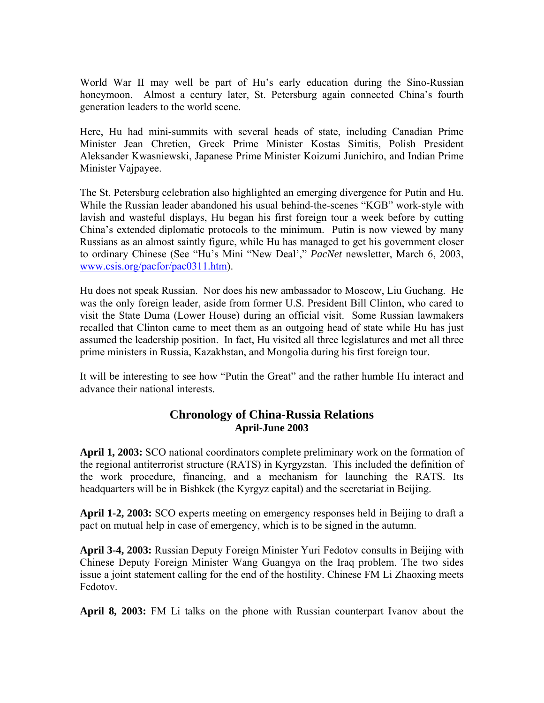World War II may well be part of Hu's early education during the Sino-Russian honeymoon. Almost a century later, St. Petersburg again connected China's fourth generation leaders to the world scene.

Here, Hu had mini-summits with several heads of state, including Canadian Prime Minister Jean Chretien, Greek Prime Minister Kostas Simitis, Polish President Aleksander Kwasniewski, Japanese Prime Minister Koizumi Junichiro, and Indian Prime Minister Vajpayee.

The St. Petersburg celebration also highlighted an emerging divergence for Putin and Hu. While the Russian leader abandoned his usual behind-the-scenes "KGB" work-style with lavish and wasteful displays, Hu began his first foreign tour a week before by cutting China's extended diplomatic protocols to the minimum. Putin is now viewed by many Russians as an almost saintly figure, while Hu has managed to get his government closer to ordinary Chinese (See "Hu's Mini "New Deal'," *PacNet* newsletter, March 6, 2003, [www.csis.org/pacfor/pac0311.htm\)](http://www.csis.org/pacfor/pac0311.htm).

Hu does not speak Russian. Nor does his new ambassador to Moscow, Liu Guchang. He was the only foreign leader, aside from former U.S. President Bill Clinton, who cared to visit the State Duma (Lower House) during an official visit. Some Russian lawmakers recalled that Clinton came to meet them as an outgoing head of state while Hu has just assumed the leadership position. In fact, Hu visited all three legislatures and met all three prime ministers in Russia, Kazakhstan, and Mongolia during his first foreign tour.

It will be interesting to see how "Putin the Great" and the rather humble Hu interact and advance their national interests.

# **Chronology of China-Russia Relations April-June 2003**

**April 1, 2003:** SCO national coordinators complete preliminary work on the formation of the regional antiterrorist structure (RATS) in Kyrgyzstan. This included the definition of the work procedure, financing, and a mechanism for launching the RATS. Its headquarters will be in Bishkek (the Kyrgyz capital) and the secretariat in Beijing.

**April 1-2, 2003:** SCO experts meeting on emergency responses held in Beijing to draft a pact on mutual help in case of emergency, which is to be signed in the autumn.

**April 3-4, 2003:** Russian Deputy Foreign Minister Yuri Fedotov consults in Beijing with Chinese Deputy Foreign Minister Wang Guangya on the Iraq problem. The two sides issue a joint statement calling for the end of the hostility. Chinese FM Li Zhaoxing meets Fedotov.

**April 8, 2003:** FM Li talks on the phone with Russian counterpart Ivanov about the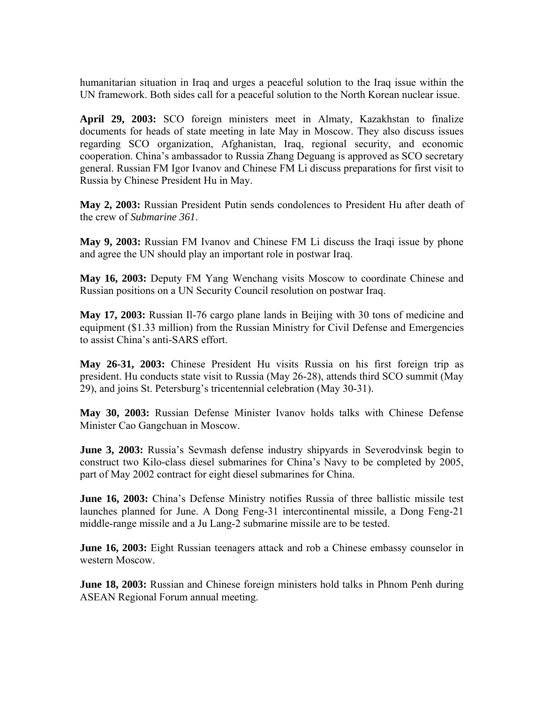humanitarian situation in Iraq and urges a peaceful solution to the Iraq issue within the UN framework. Both sides call for a peaceful solution to the North Korean nuclear issue.

**April 29, 2003:** SCO foreign ministers meet in Almaty, Kazakhstan to finalize documents for heads of state meeting in late May in Moscow. They also discuss issues regarding SCO organization, Afghanistan, Iraq, regional security, and economic cooperation. China's ambassador to Russia Zhang Deguang is approved as SCO secretary general. Russian FM Igor Ivanov and Chinese FM Li discuss preparations for first visit to Russia by Chinese President Hu in May.

**May 2, 2003:** Russian President Putin sends condolences to President Hu after death of the crew of *Submarine 361*.

**May 9, 2003:** Russian FM Ivanov and Chinese FM Li discuss the Iraqi issue by phone and agree the UN should play an important role in postwar Iraq.

**May 16, 2003:** Deputy FM Yang Wenchang visits Moscow to coordinate Chinese and Russian positions on a UN Security Council resolution on postwar Iraq.

**May 17, 2003:** Russian Il-76 cargo plane lands in Beijing with 30 tons of medicine and equipment (\$1.33 million) from the Russian Ministry for Civil Defense and Emergencies to assist China's anti-SARS effort.

**May 26-31, 2003:** Chinese President Hu visits Russia on his first foreign trip as president. Hu conducts state visit to Russia (May 26-28), attends third SCO summit (May 29), and joins St. Petersburg's tricentennial celebration (May 30-31).

**May 30, 2003:** Russian Defense Minister Ivanov holds talks with Chinese Defense Minister Cao Gangchuan in Moscow.

**June 3, 2003:** Russia's Sevmash defense industry shipyards in Severodvinsk begin to construct two Kilo*-*class diesel submarines for China's Navy to be completed by 2005, part of May 2002 contract for eight diesel submarines for China.

**June 16, 2003:** China's Defense Ministry notifies Russia of three ballistic missile test launches planned for June. A Dong Feng-31 intercontinental missile, a Dong Feng-21 middle-range missile and a Ju Lang-2 submarine missile are to be tested.

**June 16, 2003:** Eight Russian teenagers attack and rob a Chinese embassy counselor in western Moscow.

**June 18, 2003:** Russian and Chinese foreign ministers hold talks in Phnom Penh during ASEAN Regional Forum annual meeting.